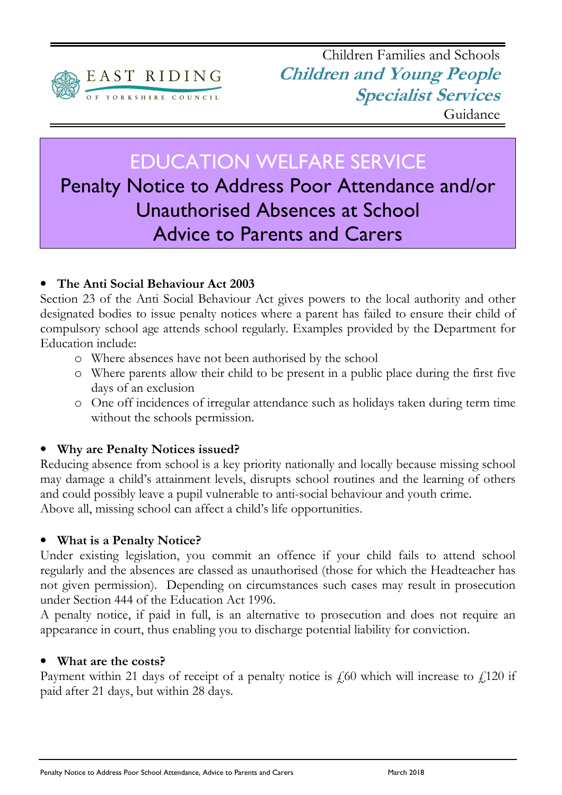

## EDUCATION WELFARE SERVICE

# Penalty Notice to Address Poor Attendance and/or Unauthorised Absences at School Advice to Parents and Carers

## • The Anti Social Behaviour Act 2003

Section 23 of the Anti Social Behaviour Act gives powers to the local authority and other designated bodies to issue penalty notices where a parent has failed to ensure their child of compulsory school age attends school regularly. Examples provided by the Department for Education include:

- o Where absences have not been authorised by the school
- o Where parents allow their child to be present in a public place during the first five days of an exclusion
- o One off incidences of irregular attendance such as holidays taken during term time without the schools permission.

## • Why are Penalty Notices issued?

Reducing absence from school is a key priority nationally and locally because missing school may damage a child's attainment levels, disrupts school routines and the learning of others and could possibly leave a pupil vulnerable to anti-social behaviour and youth crime. Above all, missing school can affect a child's life opportunities.

#### • What is a Penalty Notice?

Under existing legislation, you commit an offence if your child fails to attend school regularly and the absences are classed as unauthorised (those for which the Headteacher has not given permission). Depending on circumstances such cases may result in prosecution under Section 444 of the Education Act 1996.

A penalty notice, if paid in full, is an alternative to prosecution and does not require an appearance in court, thus enabling you to discharge potential liability for conviction.

#### What are the costs?

Payment within 21 days of receipt of a penalty notice is  $f(60)$  which will increase to  $f(120)$  if paid after 21 days, but within 28 days.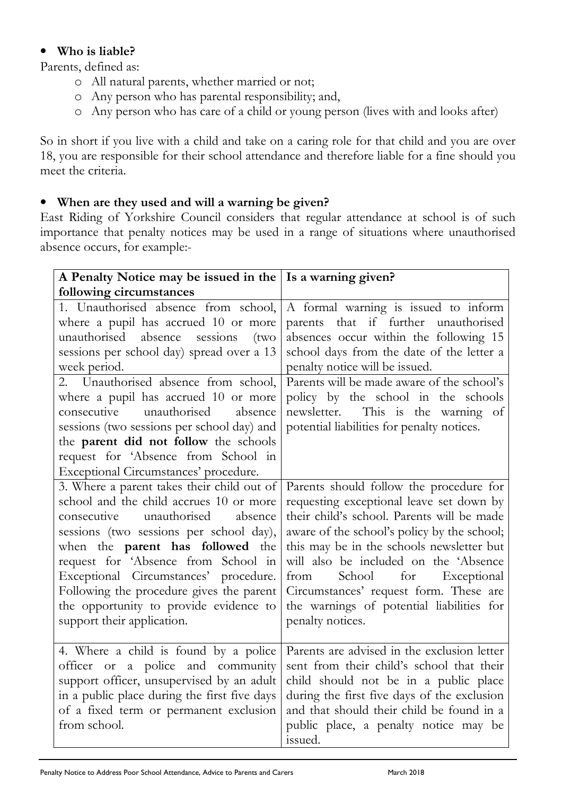### • Who is liable?

Parents, defined as:

- o All natural parents, whether married or not;
- o Any person who has parental responsibility; and,
- o Any person who has care of a child or young person (lives with and looks after)

So in short if you live with a child and take on a caring role for that child and you are over 18, you are responsible for their school attendance and therefore liable for a fine should you meet the criteria.

## • When are they used and will a warning be given?

East Riding of Yorkshire Council considers that regular attendance at school is of such importance that penalty notices may be used in a range of situations where unauthorised absence occurs, for example:-

| A Penalty Notice may be issued in the   Is a warning given?                                                                                                                                                                                                                                                                                                                                                             |                                                                                                                                                                                                                                                                                                                                                                                                                        |
|-------------------------------------------------------------------------------------------------------------------------------------------------------------------------------------------------------------------------------------------------------------------------------------------------------------------------------------------------------------------------------------------------------------------------|------------------------------------------------------------------------------------------------------------------------------------------------------------------------------------------------------------------------------------------------------------------------------------------------------------------------------------------------------------------------------------------------------------------------|
| following circumstances                                                                                                                                                                                                                                                                                                                                                                                                 |                                                                                                                                                                                                                                                                                                                                                                                                                        |
| 1. Unauthorised absence from school,<br>where a pupil has accrued 10 or more<br>unauthorised<br>absence<br>sessions<br>(tw <sub>O</sub> )<br>sessions per school day) spread over a 13<br>week period.<br>2. Unauthorised absence from school,<br>where a pupil has accrued 10 or more<br>unauthorised<br>consecutive<br>absence<br>sessions (two sessions per school day) and<br>the parent did not follow the schools | A formal warning is issued to inform<br>parents that if further unauthorised<br>absences occur within the following 15<br>school days from the date of the letter a<br>penalty notice will be issued.<br>Parents will be made aware of the school's<br>policy by the school in the schools<br>This is the warning of<br>newsletter.<br>potential liabilities for penalty notices.                                      |
| request for 'Absence from School in<br>Exceptional Circumstances' procedure.                                                                                                                                                                                                                                                                                                                                            |                                                                                                                                                                                                                                                                                                                                                                                                                        |
| 3. Where a parent takes their child out of<br>school and the child accrues 10 or more<br>unauthorised<br>absence<br>consecutive<br>sessions (two sessions per school day),<br>when the parent has followed the<br>request for 'Absence from School in<br>Exceptional Circumstances' procedure.<br>Following the procedure gives the parent<br>the opportunity to provide evidence to<br>support their application.      | Parents should follow the procedure for<br>requesting exceptional leave set down by<br>their child's school. Parents will be made<br>aware of the school's policy by the school;<br>this may be in the schools newsletter but<br>will also be included on the 'Absence<br>School<br>for Exceptional<br>from<br>Circumstances' request form. These are<br>the warnings of potential liabilities for<br>penalty notices. |
| 4. Where a child is found by a police<br>officer or a police and community<br>support officer, unsupervised by an adult<br>in a public place during the first five days<br>of a fixed term or permanent exclusion<br>from school.                                                                                                                                                                                       | Parents are advised in the exclusion letter<br>sent from their child's school that their<br>child should not be in a public place<br>during the first five days of the exclusion<br>and that should their child be found in a<br>public place, a penalty notice may be<br>issued.                                                                                                                                      |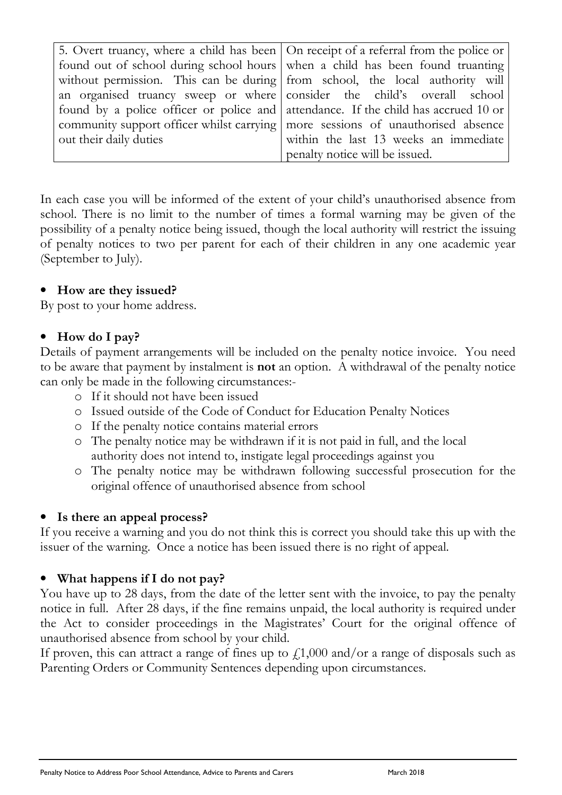|                        | 5. Overt truancy, where a child has been   On receipt of a referral from the police or |
|------------------------|----------------------------------------------------------------------------------------|
|                        | found out of school during school hours when a child has been found truanting          |
|                        | without permission. This can be during from school, the local authority will           |
|                        | an organised truancy sweep or where consider the child's overall school                |
|                        | found by a police officer or police and attendance. If the child has accrued 10 or     |
|                        | community support officer whilst carrying   more sessions of unauthorised absence      |
| out their daily duties | within the last 13 weeks an immediate                                                  |
|                        | penalty notice will be issued.                                                         |

In each case you will be informed of the extent of your child's unauthorised absence from school. There is no limit to the number of times a formal warning may be given of the possibility of a penalty notice being issued, though the local authority will restrict the issuing of penalty notices to two per parent for each of their children in any one academic year (September to July).

#### • How are they issued?

By post to your home address.

#### • How do I pay?

Details of payment arrangements will be included on the penalty notice invoice. You need to be aware that payment by instalment is not an option. A withdrawal of the penalty notice can only be made in the following circumstances:-

- o If it should not have been issued
- o Issued outside of the Code of Conduct for Education Penalty Notices
- o If the penalty notice contains material errors
- o The penalty notice may be withdrawn if it is not paid in full, and the local authority does not intend to, instigate legal proceedings against you
- o The penalty notice may be withdrawn following successful prosecution for the original offence of unauthorised absence from school

#### • Is there an appeal process?

If you receive a warning and you do not think this is correct you should take this up with the issuer of the warning. Once a notice has been issued there is no right of appeal.

#### • What happens if I do not pay?

You have up to 28 days, from the date of the letter sent with the invoice, to pay the penalty notice in full. After 28 days, if the fine remains unpaid, the local authority is required under the Act to consider proceedings in the Magistrates' Court for the original offence of unauthorised absence from school by your child.

If proven, this can attract a range of fines up to  $f1,000$  and/or a range of disposals such as Parenting Orders or Community Sentences depending upon circumstances.